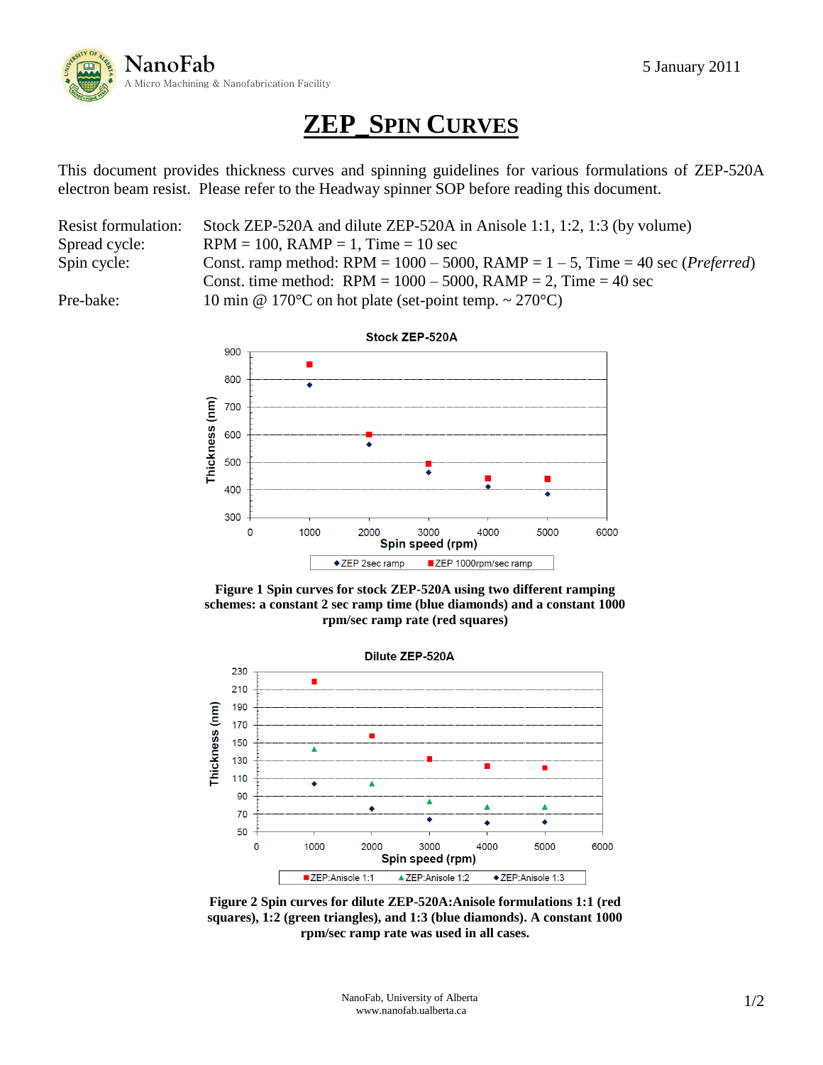

## **ZEP\_SPIN CURVES**

This document provides thickness curves and spinning guidelines for various formulations of ZEP-520A electron beam resist. Please refer to the Headway spinner SOP before reading this document.

| <b>Resist formulation:</b> | Stock ZEP-520A and dilute ZEP-520A in Anisole 1:1, 1:2, 1:3 (by volume)                       |  |
|----------------------------|-----------------------------------------------------------------------------------------------|--|
| Spread cycle:              | $RPM = 100$ , $RAMP = 1$ , $Time = 10$ sec                                                    |  |
| Spin cycle:                | Const. ramp method: RPM = $1000 - 5000$ , RAMP = $1 - 5$ , Time = 40 sec ( <i>Preferred</i> ) |  |
|                            | Const. time method: $RPM = 1000 - 5000$ , $RAMP = 2$ , Time = 40 sec                          |  |
| Pre-bake:                  | 10 min @ 170°C on hot plate (set-point temp. $\sim$ 270°C)                                    |  |







**Figure 2 Spin curves for dilute ZEP-520A:Anisole formulations 1:1 (red squares), 1:2 (green triangles), and 1:3 (blue diamonds). A constant 1000 rpm/sec ramp rate was used in all cases.**